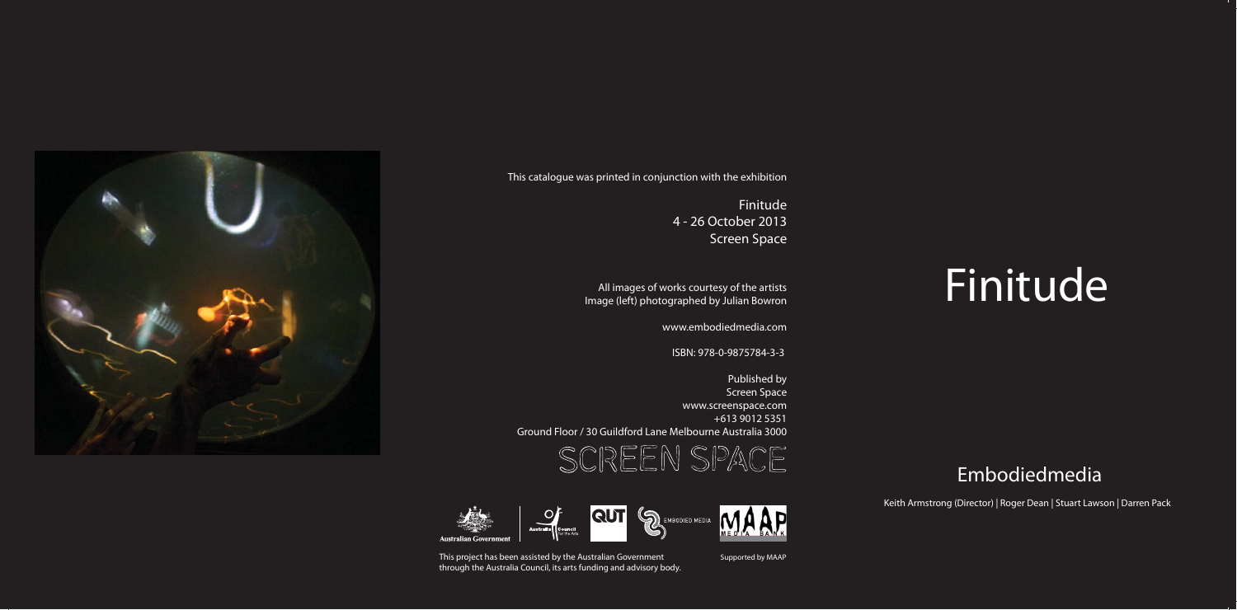

Finitude4 - 26 October 2013 Screen Space

All images of works courtesy of the artists Image (left) photographed by Julian Bowron

www.embodiedmedia.com

ISBN: 978-0-9875784-3-3

Published by Screen Space www.screenspace.com +613 9012 5351 Ground Floor / 30 Guildford Lane Melbourne Australia 3000







## Finitude

Keith Armstrong (Director) | Roger Dean | Stuart Lawson | Darren Pack

This project has been assisted by the Australian Government through the Australia Council, its arts funding and advisory body.

## Embodiedmedia

Supported by MAAP